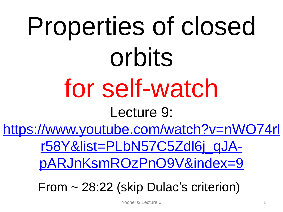# Properties of closed orbits for self-watch Lecture 9: [https://www.youtube.com/watch?v=nWO74rl](https://www.youtube.com/watch?v=nWO74rlr58Y&list=PLbN57C5Zdl6j_qJA-pARJnKsmROzPnO9V&index=9) r58Y&list=PLbN57C5Zdl6j\_qJApARJnKsmROzPnO9V&index=9

From ~ 28:22 (skip Dulac's criterion)

Yochelis/ Lecture 6 1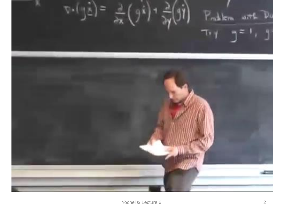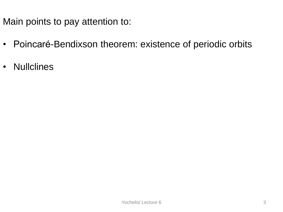Main points to pay attention to:

- Poincaré-Bendixson theorem: existence of periodic orbits
- Nullclines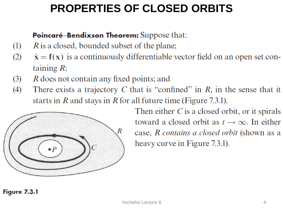### **PROPERTIES OF CLOSED ORBITS**

### Poincaré-Bendixson Theorem: Suppose that:

- $(1)$ *R* is a closed, bounded subset of the plane;
- $(2)$  $\dot{x} = f(x)$  is a continuously differentiable vector field on an open set containing *;*
- $(3)$ R does not contain any fixed points; and
- $(4)$ There exists a trajectory C that is "confined" in  $R$ , in the sense that it starts in R and stays in R for all future time (Figure 7.3.1).



Then either  $C$  is a closed orbit, or it spirals toward a closed orbit as  $t \to \infty$ . In either case, *R contains a closed orbit* (shown as a heavy curve in Figure 7.3.1).

#### Figure 7.3.1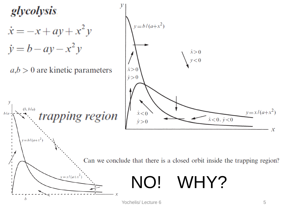

Yochelis/ Lecture 6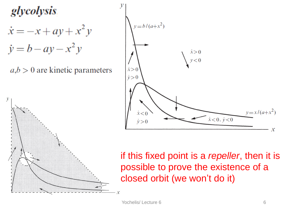

 $a,b>0$  are kinetic parameters





if this fixed point is a *repeller*, then it is possible to prove the existence of a closed orbit (we won't do it)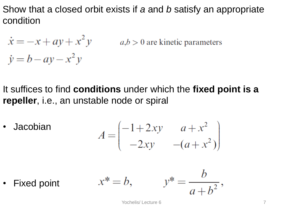Show that a closed orbit exists if *a* and *b* satisfy an appropriate condition

$$
\dot{x} = -x + ay + x^2 y \qquad a,b > 0 \text{ are kinetic parameters}
$$
  

$$
\dot{y} = b - ay - x^2 y
$$

It suffices to find **conditions** under which the **fixed point is a repeller**, i.e., an unstable node or spiral

**Jacobian**  $A = \begin{bmatrix} -1+2xy & a+x^2 \\ -2xy & -(a+x^2) \end{bmatrix}$  $x^* = b$ ,  $y^* = \frac{b}{a+b^2}$ , **Fixed point**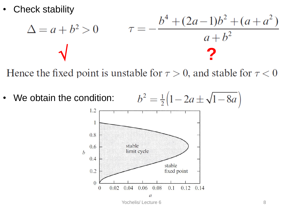Check stability

$$
\Delta = a + b^2 > 0 \qquad \tau = -\frac{b^4 + (2a - 1)b^2 + (a + a^2)}{a + b^2}
$$

Hence the fixed point is unstable for  $\tau > 0$ , and stable for  $\tau < 0$ .



Yochelis/Lecture 6 8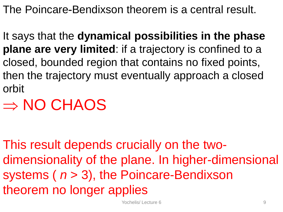The Poincare-Bendixson theorem is a central result.

It says that the **dynamical possibilities in the phase plane are very limited**: if a trajectory is confined to a closed, bounded region that contains no fixed points, then the trajectory must eventually approach a closed orbit

## $\Rightarrow$  NO CHAOS

This result depends crucially on the twodimensionality of the plane. In higher-dimensional systems ( *n* > 3), the Poincare-Bendixson theorem no longer applies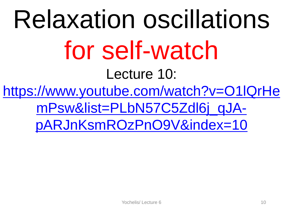## Relaxation oscillations for self-watch Lecture 10: [https://www.youtube.com/watch?v=O1lQrHe](https://www.youtube.com/watch?v=O1lQrHemPsw&list=PLbN57C5Zdl6j_qJA-pARJnKsmROzPnO9V&index=10) mPsw&list=PLbN57C5Zdl6j\_qJApARJnKsmROzPnO9V&index=10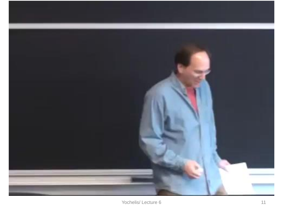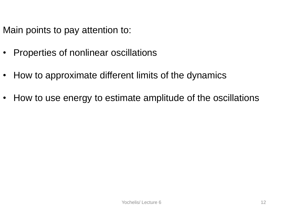Main points to pay attention to:

- Properties of nonlinear oscillations
- How to approximate different limits of the dynamics
- How to use energy to estimate amplitude of the oscillations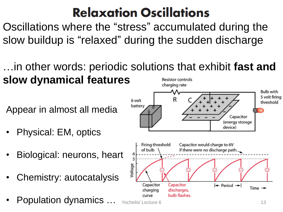### **Relaxation Oscillations**

Oscillations where the "stress" accumulated during the slow buildup is "relaxed" during the sudden discharge

…in other words: periodic solutions that exhibit **fast and slow dynamical features Resistor controls** 

Appear in almost all media

- Physical: EM, optics
- Biological: neurons, heart
- Chemistry: autocatalysis
- Population dynamics …

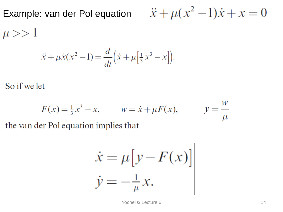Example: van der Pol equation

$$
\ddot{x} + \mu(x^2 - 1)\dot{x} + x = 0
$$

 $\mu >> 1$ 

$$
\ddot{x} + \mu \dot{x} (x^2 - 1) = \frac{d}{dt} \left( \dot{x} + \mu \left[ \frac{1}{3} x^3 - x \right] \right).
$$

So if we let

$$
F(x) = \frac{1}{3}x^3 - x
$$
,  $w = \dot{x} + \mu F(x)$ ,  $y = \frac{w}{\mu}$ 

the van der Pol equation implies that

$$
\dot{x} = \mu[y - F(x)]
$$
  

$$
\dot{y} = -\frac{1}{\mu}x.
$$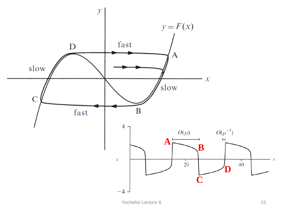